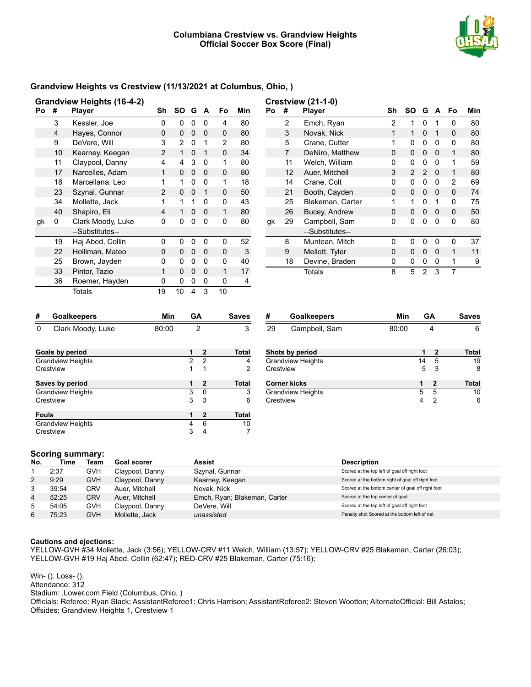

## **Grandview Heights vs Crestview (11/13/2021 at Columbus, Ohio, )**

| Po | #  | Grandview Heights (16-4-2)<br><b>Player</b> | Sh             | SO | G        | A        | Fo           | Min |
|----|----|---------------------------------------------|----------------|----|----------|----------|--------------|-----|
|    |    |                                             |                |    |          |          |              |     |
|    | 3  | Kessler, Joe                                | 0              | 0  | 0        | $\Omega$ | 4            | 80  |
|    | 4  | Hayes, Connor                               | 0              | 0  | 0        | $\Omega$ | <sup>0</sup> | 80  |
|    | 9  | DeVere, Will                                | 3              | 2  | 0        | 1        | 2            | 80  |
|    | 10 | Kearney, Keegan                             | 2              | 1  | $\Omega$ | 1        | 0            | 34  |
|    | 11 | Claypool, Danny                             | 4              | 4  | 3        | $\Omega$ | 1            | 80  |
|    | 17 | Narcelles, Adam                             | 1              | 0  | 0        | 0        | <sup>0</sup> | 80  |
|    | 18 | Marcellana, Leo                             | 1              | 1  | 0        | $\Omega$ | 1            | 18  |
|    | 23 | Szynal, Gunnar                              | $\overline{2}$ | 0  | $\Omega$ | 1        | U            | 50  |
|    | 34 | Mollette, Jack                              | 1              | 1  | 1        | $\Omega$ | U            | 43  |
|    | 40 | Shapiro, Eli                                | 4              | 1  | $\Omega$ | $\Omega$ | 1            | 80  |
| gk | 0  | Clark Moody, Luke                           | 0              | 0  | 0        | 0        | O            | 80  |
|    |    | --Substitutes--                             |                |    |          |          |              |     |
|    | 19 | Haj Abed, Collin                            | 0              | 0  | 0        | 0        | U            | 52  |
|    | 22 | Holliman, Mateo                             | O              | 0  | $\Omega$ | $\Omega$ | O            | 3   |
|    | 25 | Brown, Jayden                               | ŋ              | 0  | 0        | 0        | ŋ            | 40  |
|    | 33 | Pintor, Tazio                               | 1              | 0  | 0        | $\Omega$ | 1            | 17  |
|    | 36 | Roemer, Hayden                              | 0              | 0  | 0        | 0        | 0            | 4   |
|    |    | Totals                                      | 19             | 10 | 4        | 3        | 10           |     |

|    |                | <b>Crestview (21-1-0)</b> |                |              |                |              |    |     |
|----|----------------|---------------------------|----------------|--------------|----------------|--------------|----|-----|
| Po | #              | <b>Player</b>             | Sh             | SΟ           | G              | A            | Fo | Min |
|    | $\overline{2}$ | Emch, Ryan                | $\overline{2}$ | 1            | O              | 1            | 0  | 80  |
|    | 3              | Novak, Nick               | 1              | 1            | 0              | 1            | 0  | 80  |
|    | 5              | Crane, Cutter             | 1              | 0            | 0              | O            | 0  | 80  |
|    | 7              | DeNiro, Matthew           | O              | 0            | 0              | $\Omega$     | 1  | 80  |
|    | 11             | Welch, William            | 0              | 0            | 0              | O            | 1  | 59  |
|    | 12             | Auer, Mitchell            | 3              | $\mathbf{2}$ | 2              | $\Omega$     | 1  | 80  |
|    | 14             | Crane, Colt               | U              | 0            | 0              | $\Omega$     | 2  | 69  |
|    | 21             | Booth, Cayden             | 0              | 0            | 0              | $\Omega$     | 0  | 74  |
|    | 25             | Blakeman, Carter          | 1              | 1            | 0              | 1            | 0  | 75  |
|    | 26             | Bucey, Andrew             | U              | <sup>0</sup> | 0              | <sup>0</sup> | O  | 50  |
| gk | 29             | Campbell, Sam             | 0              | O            | n              | U            | 0  | 80  |
|    |                | --Substitutes--           |                |              |                |              |    |     |
|    | 8              | Muntean, Mitch            | U              | O            | O              | O            | ŋ  | 37  |
|    | 9              | Mellott, Tyler            | 0              | 0            | 0              | $\Omega$     | 1  | 11  |
|    | 18             | Devine, Braden            | 0              | 0            | 0              | 0            | 1  | 9   |
|    |                | Totals                    | 8              | 5            | $\mathfrak{p}$ | 3            | 7  |     |

| #            | <b>Goalkeepers</b>       | Min   | GA |              | <b>Saves</b> |
|--------------|--------------------------|-------|----|--------------|--------------|
| 0            | Clark Moody, Luke        | 80:00 |    | 2            | 3            |
|              | Goals by period          |       | 1  | 2            | Total        |
|              | <b>Grandview Heights</b> |       | 2  | 2            | 4            |
|              | Crestview                |       | 1  | 1            | 2            |
|              | Saves by period          |       | 1  | $\mathbf{2}$ | Total        |
|              | <b>Grandview Heights</b> |       | 3  | 0            | 3            |
|              | Crestview                |       | 3  | 3            | 6            |
| <b>Fouls</b> |                          |       | 1  | $\mathbf{2}$ | Total        |
|              | <b>Grandview Heights</b> |       | 4  | 6            | 10           |
|              | Crestview                |       | 3  | 4            |              |

| #  | <b>Goalkeepers</b>       | Min   |    | GΑ | <b>Saves</b> |
|----|--------------------------|-------|----|----|--------------|
| 29 | Campbell, Sam            | 80:00 |    | 4  | 6            |
|    | Shots by period          |       | 1  | 2  | Total        |
|    | <b>Grandview Heights</b> |       | 14 | 5  | 19           |
|    | Crestview                |       | 5  | 3  | 8            |
|    | Corner kicks             |       |    | 2  | Total        |
|    | Grandview Heights        |       | 5  | 5  | 10           |
|    | Crestview                |       |    | 2  | 6            |
|    |                          |       |    |    |              |

#### **Scoring summary:**

| No. | Time  | Team       | Goal scorer     | Assist                       | <b>Description</b>                                 |
|-----|-------|------------|-----------------|------------------------------|----------------------------------------------------|
|     | 2:37  | <b>GVH</b> | Claypool, Danny | Szynal, Gunnar               | Scored at the top left of goal off right foot      |
| 2   | 9:29  | <b>GVH</b> | Claypool, Danny | Kearney, Keegan              | Scored at the bottom right of goal off right foot  |
| 3   | 39:54 | <b>CRV</b> | Auer. Mitchell  | Novak, Nick                  | Scored at the bottom center of goal off right foot |
| 4   | 52:25 | <b>CRV</b> | Auer. Mitchell  | Emch, Ryan; Blakeman, Carter | Scored at the top center of goal                   |
| 5   | 54:05 | <b>GVH</b> | Claypool, Danny | DeVere, Will                 | Scored at the top left of goal off right foot      |
| 6   | 75:23 | <b>GVH</b> | Mollette, Jack  | unassisted                   | Penalty shot Scored at the bottom left of net      |

#### **Cautions and ejections:**

YELLOW-GVH #34 Mollette, Jack (3:56); YELLOW-CRV #11 Welch, William (13:57); YELLOW-CRV #25 Blakeman, Carter (26:03); YELLOW-GVH #19 Haj Abed, Collin (62:47); RED-CRV #25 Blakeman, Carter (75:16);

Win- (). Loss- (). Attendance: 312

Stadium: ,Lower.com Field (Columbus, Ohio, )

Officials: Referee: Ryan Slack; AssistantReferee1: Chris Harrison; AssistantReferee2: Steven Wootton; AlternateOfficial: Bill Astalos; Offsides: Grandview Heights 1, Crestview 1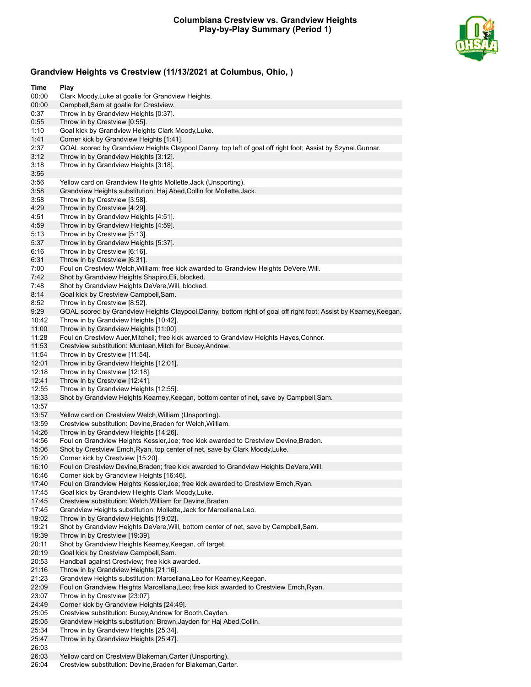

# **Grandview Heights vs Crestview (11/13/2021 at Columbus, Ohio, )**

| Time           | Play                                                                                                                              |
|----------------|-----------------------------------------------------------------------------------------------------------------------------------|
| 00:00          | Clark Moody, Luke at goalie for Grandview Heights.                                                                                |
| 00:00          | Campbell, Sam at goalie for Crestview.                                                                                            |
| 0:37           | Throw in by Grandview Heights [0:37].                                                                                             |
| 0:55           | Throw in by Crestview [0:55].                                                                                                     |
| 1:10           | Goal kick by Grandview Heights Clark Moody, Luke.                                                                                 |
| 1:41           | Corner kick by Grandview Heights [1:41].                                                                                          |
| 2:37           | GOAL scored by Grandview Heights Claypool, Danny, top left of goal off right foot; Assist by Szynal, Gunnar.                      |
| 3:12           | Throw in by Grandview Heights [3:12].                                                                                             |
| 3:18           | Throw in by Grandview Heights [3:18].                                                                                             |
| 3:56           |                                                                                                                                   |
| 3:56           | Yellow card on Grandview Heights Mollette, Jack (Unsporting).                                                                     |
| 3:58           | Grandview Heights substitution: Haj Abed, Collin for Mollette, Jack.                                                              |
| 3:58           | Throw in by Crestview [3:58].                                                                                                     |
| 4:29           | Throw in by Crestview [4:29].                                                                                                     |
| 4:51           | Throw in by Grandview Heights [4:51].                                                                                             |
| 4:59           | Throw in by Grandview Heights [4:59].                                                                                             |
| 5:13           | Throw in by Crestview [5:13].                                                                                                     |
| 5:37           | Throw in by Grandview Heights [5:37].                                                                                             |
| 6:16           | Throw in by Crestview [6:16].                                                                                                     |
| 6:31           | Throw in by Crestview [6:31].                                                                                                     |
| 7:00           | Foul on Crestview Welch, William; free kick awarded to Grandview Heights DeVere, Will.                                            |
| 7:42           | Shot by Grandview Heights Shapiro, Eli, blocked.                                                                                  |
| 7:48           | Shot by Grandview Heights DeVere, Will, blocked.                                                                                  |
| 8:14           | Goal kick by Crestview Campbell, Sam.                                                                                             |
| 8:52           | Throw in by Crestview [8:52].                                                                                                     |
| 9:29           | GOAL scored by Grandview Heights Claypool, Danny, bottom right of goal off right foot; Assist by Kearney, Keegan.                 |
| 10:42          | Throw in by Grandview Heights [10:42].                                                                                            |
| 11:00          | Throw in by Grandview Heights [11:00].<br>Foul on Crestview Auer, Mitchell; free kick awarded to Grandview Heights Hayes, Connor. |
| 11:28<br>11:53 | Crestview substitution: Muntean, Mitch for Bucey, Andrew.                                                                         |
| 11:54          |                                                                                                                                   |
| 12:01          | Throw in by Crestview [11:54].<br>Throw in by Grandview Heights [12:01].                                                          |
| 12:18          | Throw in by Crestview [12:18].                                                                                                    |
| 12:41          | Throw in by Crestview [12:41].                                                                                                    |
| 12:55          | Throw in by Grandview Heights [12:55].                                                                                            |
| 13:33          | Shot by Grandview Heights Kearney, Keegan, bottom center of net, save by Campbell, Sam.                                           |
| 13:57          |                                                                                                                                   |
| 13:57          | Yellow card on Crestview Welch, William (Unsporting).                                                                             |
| 13:59          | Crestview substitution: Devine, Braden for Welch, William.                                                                        |
| 14:26          | Throw in by Grandview Heights [14:26].                                                                                            |
| 14:56          | Foul on Grandview Heights Kessler, Joe; free kick awarded to Crestview Devine, Braden.                                            |
| 15:06          | Shot by Crestview Emch, Ryan, top center of net, save by Clark Moody, Luke.                                                       |
| 15:20          | Corner kick by Crestview [15:20].                                                                                                 |
| 16:10          | Foul on Crestview Devine, Braden; free kick awarded to Grandview Heights DeVere, Will.                                            |
| 16:46          | Corner kick by Grandview Heights [16:46].                                                                                         |
| 17:40          | Foul on Grandview Heights Kessler, Joe; free kick awarded to Crestview Emch, Ryan.                                                |
| 17:45          | Goal kick by Grandview Heights Clark Moody, Luke.                                                                                 |
| 17:45          | Crestview substitution: Welch, William for Devine, Braden.                                                                        |
| 17:45          | Grandview Heights substitution: Mollette, Jack for Marcellana, Leo.                                                               |
| 19:02          | Throw in by Grandview Heights [19:02].                                                                                            |
| 19:21          | Shot by Grandview Heights DeVere, Will, bottom center of net, save by Campbell, Sam.                                              |
| 19:39          | Throw in by Crestview [19:39].                                                                                                    |
| 20:11          | Shot by Grandview Heights Kearney, Keegan, off target.                                                                            |
| 20:19          | Goal kick by Crestview Campbell, Sam.                                                                                             |
| 20:53          | Handball against Crestview; free kick awarded.                                                                                    |
| 21:16          | Throw in by Grandview Heights [21:16].                                                                                            |
| 21:23          | Grandview Heights substitution: Marcellana, Leo for Kearney, Keegan.                                                              |
| 22:09          | Foul on Grandview Heights Marcellana, Leo; free kick awarded to Crestview Emch, Ryan.                                             |
| 23:07          | Throw in by Crestview [23:07].                                                                                                    |
| 24:49          | Corner kick by Grandview Heights [24:49].                                                                                         |
| 25:05          | Crestview substitution: Bucey, Andrew for Booth, Cayden.                                                                          |
| 25:05          | Grandview Heights substitution: Brown, Jayden for Haj Abed, Collin.                                                               |
| 25:34          | Throw in by Grandview Heights [25:34].                                                                                            |
| 25:47          | Throw in by Grandview Heights [25:47].                                                                                            |
| 26:03          |                                                                                                                                   |
| 26:03          | Yellow card on Crestview Blakeman, Carter (Unsporting).                                                                           |
| 26:04          | Crestview substitution: Devine, Braden for Blakeman, Carter.                                                                      |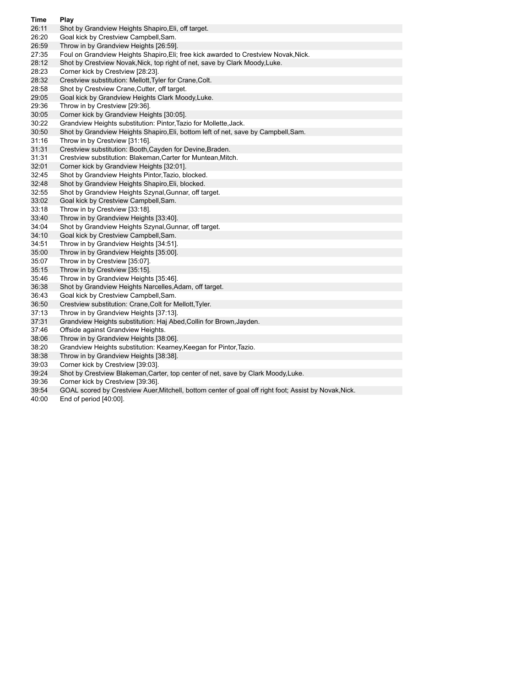| Time  | Play                                                                                                  |
|-------|-------------------------------------------------------------------------------------------------------|
| 26:11 | Shot by Grandview Heights Shapiro, Eli, off target.                                                   |
| 26:20 | Goal kick by Crestview Campbell, Sam.                                                                 |
| 26:59 | Throw in by Grandview Heights [26:59].                                                                |
| 27:35 | Foul on Grandview Heights Shapiro, Eli; free kick awarded to Crestview Novak, Nick.                   |
| 28:12 | Shot by Crestview Novak, Nick, top right of net, save by Clark Moody, Luke.                           |
| 28:23 | Corner kick by Crestview [28:23].                                                                     |
| 28:32 | Crestview substitution: Mellott, Tyler for Crane, Colt.                                               |
| 28:58 | Shot by Crestview Crane, Cutter, off target.                                                          |
| 29:05 | Goal kick by Grandview Heights Clark Moody, Luke.                                                     |
| 29:36 | Throw in by Crestview [29:36].                                                                        |
| 30:05 | Corner kick by Grandview Heights [30:05].                                                             |
| 30:22 | Grandview Heights substitution: Pintor, Tazio for Mollette, Jack.                                     |
| 30:50 | Shot by Grandview Heights Shapiro, Eli, bottom left of net, save by Campbell, Sam.                    |
| 31:16 | Throw in by Crestview [31:16].                                                                        |
| 31:31 | Crestview substitution: Booth, Cayden for Devine, Braden.                                             |
| 31:31 | Crestview substitution: Blakeman, Carter for Muntean, Mitch.                                          |
| 32:01 | Corner kick by Grandview Heights [32:01].                                                             |
| 32:45 | Shot by Grandview Heights Pintor, Tazio, blocked.                                                     |
| 32:48 | Shot by Grandview Heights Shapiro, Eli, blocked.                                                      |
| 32:55 | Shot by Grandview Heights Szynal, Gunnar, off target.                                                 |
| 33:02 | Goal kick by Crestview Campbell, Sam.                                                                 |
| 33:18 | Throw in by Crestview [33:18].                                                                        |
| 33:40 | Throw in by Grandview Heights [33:40].                                                                |
| 34:04 | Shot by Grandview Heights Szynal, Gunnar, off target.                                                 |
| 34:10 | Goal kick by Crestview Campbell, Sam.                                                                 |
| 34:51 | Throw in by Grandview Heights [34.51].                                                                |
| 35:00 | Throw in by Grandview Heights [35:00].                                                                |
| 35:07 | Throw in by Crestview [35:07].                                                                        |
| 35:15 | Throw in by Crestview [35:15].                                                                        |
| 35:46 | Throw in by Grandview Heights [35:46].                                                                |
| 36:38 | Shot by Grandview Heights Narcelles, Adam, off target.                                                |
| 36:43 | Goal kick by Crestview Campbell, Sam.                                                                 |
| 36:50 | Crestview substitution: Crane, Colt for Mellott, Tyler.                                               |
| 37:13 | Throw in by Grandview Heights [37:13].                                                                |
| 37:31 | Grandview Heights substitution: Haj Abed, Collin for Brown, Jayden.                                   |
| 37:46 | Offside against Grandview Heights.                                                                    |
| 38:06 | Throw in by Grandview Heights [38:06].                                                                |
| 38:20 | Grandview Heights substitution: Kearney, Keegan for Pintor, Tazio.                                    |
| 38:38 | Throw in by Grandview Heights [38:38].                                                                |
| 39:03 | Corner kick by Crestview [39:03].                                                                     |
| 39:24 | Shot by Crestview Blakeman, Carter, top center of net, save by Clark Moody, Luke.                     |
| 39:36 | Corner kick by Crestview [39:36].                                                                     |
| 39:54 | GOAL scored by Crestview Auer, Mitchell, bottom center of goal off right foot; Assist by Novak, Nick. |
| 40:00 | End of period $[40:00]$ .                                                                             |

End of period [40:00].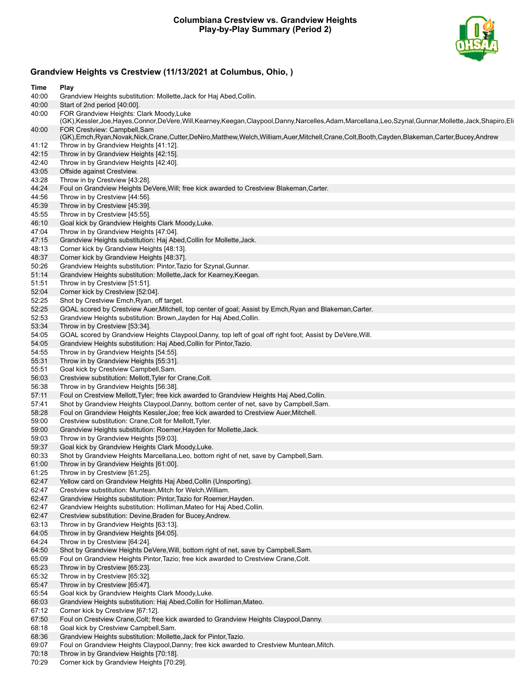## **Columbiana Crestview vs. Grandview Heights Play-by-Play Summary (Period 2)**



# **Grandview Heights vs Crestview (11/13/2021 at Columbus, Ohio, )**

| Time           | Play                                                                                                                                                                                       |
|----------------|--------------------------------------------------------------------------------------------------------------------------------------------------------------------------------------------|
| 40:00          | Grandview Heights substitution: Mollette, Jack for Haj Abed, Collin.                                                                                                                       |
| 40:00          | Start of 2nd period [40:00].                                                                                                                                                               |
| 40:00          | FOR Grandview Heights: Clark Moody, Luke                                                                                                                                                   |
|                | (GK),Kessler,Joe,Hayes,Connor,DeVere,Will,Kearney,Keegan,Claypool,Danny,Narcelles,Adam,Marcellana,Leo,Szynal,Gunnar,Mollette,Jack,Shapiro,Eli                                              |
| 40:00          | FOR Crestview: Campbell, Sam<br>(GK), Emch, Ryan, Novak, Nick, Crane, Cutter, DeNiro, Matthew, Welch, William, Auer, Mitchell, Crane, Colt, Booth, Cayden, Blakeman, Carter, Bucey, Andrew |
| 41:12          | Throw in by Grandview Heights [41:12].                                                                                                                                                     |
| 42:15          | Throw in by Grandview Heights [42:15].                                                                                                                                                     |
| 42:40          | Throw in by Grandview Heights [42:40].                                                                                                                                                     |
| 43:05          | Offside against Crestview.                                                                                                                                                                 |
| 43:28          | Throw in by Crestview [43:28].                                                                                                                                                             |
| 44:24          | Foul on Grandview Heights DeVere, Will; free kick awarded to Crestview Blakeman, Carter.                                                                                                   |
| 44:56          | Throw in by Crestview [44:56].                                                                                                                                                             |
| 45:39          | Throw in by Crestview [45:39].                                                                                                                                                             |
| 45:55          | Throw in by Crestview [45:55].                                                                                                                                                             |
| 46:10          | Goal kick by Grandview Heights Clark Moody, Luke.                                                                                                                                          |
| 47:04          | Throw in by Grandview Heights [47:04].                                                                                                                                                     |
| 47:15          | Grandview Heights substitution: Haj Abed, Collin for Mollette, Jack.                                                                                                                       |
| 48:13          | Corner kick by Grandview Heights [48:13].                                                                                                                                                  |
| 48:37          | Corner kick by Grandview Heights [48:37].                                                                                                                                                  |
| 50:26          | Grandview Heights substitution: Pintor, Tazio for Szynal, Gunnar.                                                                                                                          |
| 51:14          | Grandview Heights substitution: Mollette, Jack for Kearney, Keegan.                                                                                                                        |
| 51:51          | Throw in by Crestview [51:51].                                                                                                                                                             |
| 52:04<br>52:25 | Corner kick by Crestview [52:04].<br>Shot by Crestview Emch, Ryan, off target.                                                                                                             |
| 52:25          | GOAL scored by Crestview Auer, Mitchell, top center of goal; Assist by Emch, Ryan and Blakeman, Carter.                                                                                    |
| 52:53          | Grandview Heights substitution: Brown, Jayden for Haj Abed, Collin.                                                                                                                        |
| 53:34          | Throw in by Crestview [53:34].                                                                                                                                                             |
| 54:05          | GOAL scored by Grandview Heights Claypool, Danny, top left of goal off right foot; Assist by DeVere, Will.                                                                                 |
| 54:05          | Grandview Heights substitution: Haj Abed, Collin for Pintor, Tazio.                                                                                                                        |
| 54:55          | Throw in by Grandview Heights [54:55].                                                                                                                                                     |
| 55:31          | Throw in by Grandview Heights [55:31].                                                                                                                                                     |
| 55:51          | Goal kick by Crestview Campbell, Sam.                                                                                                                                                      |
| 56:03          | Crestview substitution: Mellott, Tyler for Crane, Colt.                                                                                                                                    |
| 56:38          | Throw in by Grandview Heights [56:38].                                                                                                                                                     |
| 57:11          | Foul on Crestview Mellott, Tyler; free kick awarded to Grandview Heights Haj Abed, Collin.                                                                                                 |
| 57:41          | Shot by Grandview Heights Claypool, Danny, bottom center of net, save by Campbell, Sam.                                                                                                    |
| 58:28          | Foul on Grandview Heights Kessler, Joe; free kick awarded to Crestview Auer, Mitchell.                                                                                                     |
| 59:00          | Crestview substitution: Crane, Colt for Mellott, Tyler.                                                                                                                                    |
| 59:00          | Grandview Heights substitution: Roemer, Hayden for Mollette, Jack.                                                                                                                         |
| 59:03          | Throw in by Grandview Heights [59:03].                                                                                                                                                     |
| 59:37          | Goal kick by Grandview Heights Clark Moody, Luke.<br>Shot by Grandview Heights Marcellana, Leo, bottom right of net, save by Campbell, Sam.                                                |
| 60:33<br>61:00 | Throw in by Grandview Heights [61:00].                                                                                                                                                     |
| 61:25          | Throw in by Crestview [61:25].                                                                                                                                                             |
| 62:47          | Yellow card on Grandview Heights Haj Abed, Collin (Unsporting).                                                                                                                            |
| 62:47          | Crestview substitution: Muntean, Mitch for Welch, William.                                                                                                                                 |
| 62:47          | Grandview Heights substitution: Pintor, Tazio for Roemer, Hayden.                                                                                                                          |
| 62:47          | Grandview Heights substitution: Holliman, Mateo for Haj Abed, Collin.                                                                                                                      |
| 62:47          | Crestview substitution: Devine, Braden for Bucey, Andrew.                                                                                                                                  |
| 63:13          | Throw in by Grandview Heights [63:13].                                                                                                                                                     |
| 64:05          | Throw in by Grandview Heights [64:05].                                                                                                                                                     |
| 64:24          | Throw in by Crestview [64:24].                                                                                                                                                             |
| 64:50          | Shot by Grandview Heights DeVere, Will, bottom right of net, save by Campbell, Sam.                                                                                                        |
| 65:09          | Foul on Grandview Heights Pintor, Tazio; free kick awarded to Crestview Crane, Colt.                                                                                                       |
| 65:23          | Throw in by Crestview [65:23].                                                                                                                                                             |
| 65:32          | Throw in by Crestview [65:32].                                                                                                                                                             |
| 65:47          | Throw in by Crestview [65:47].                                                                                                                                                             |
| 65:54          | Goal kick by Grandview Heights Clark Moody, Luke.                                                                                                                                          |
| 66:03          | Grandview Heights substitution: Haj Abed, Collin for Holliman, Mateo.                                                                                                                      |
| 67:12          | Corner kick by Crestview [67:12].                                                                                                                                                          |
| 67:50          | Foul on Crestview Crane, Colt; free kick awarded to Grandview Heights Claypool, Danny.                                                                                                     |
| 68:18<br>68:36 | Goal kick by Crestview Campbell, Sam.                                                                                                                                                      |
|                |                                                                                                                                                                                            |
| 69:07          | Grandview Heights substitution: Mollette, Jack for Pintor, Tazio.<br>Foul on Grandview Heights Claypool, Danny; free kick awarded to Crestview Muntean, Mitch.                             |

70:29 Corner kick by Grandview Heights [70:29].